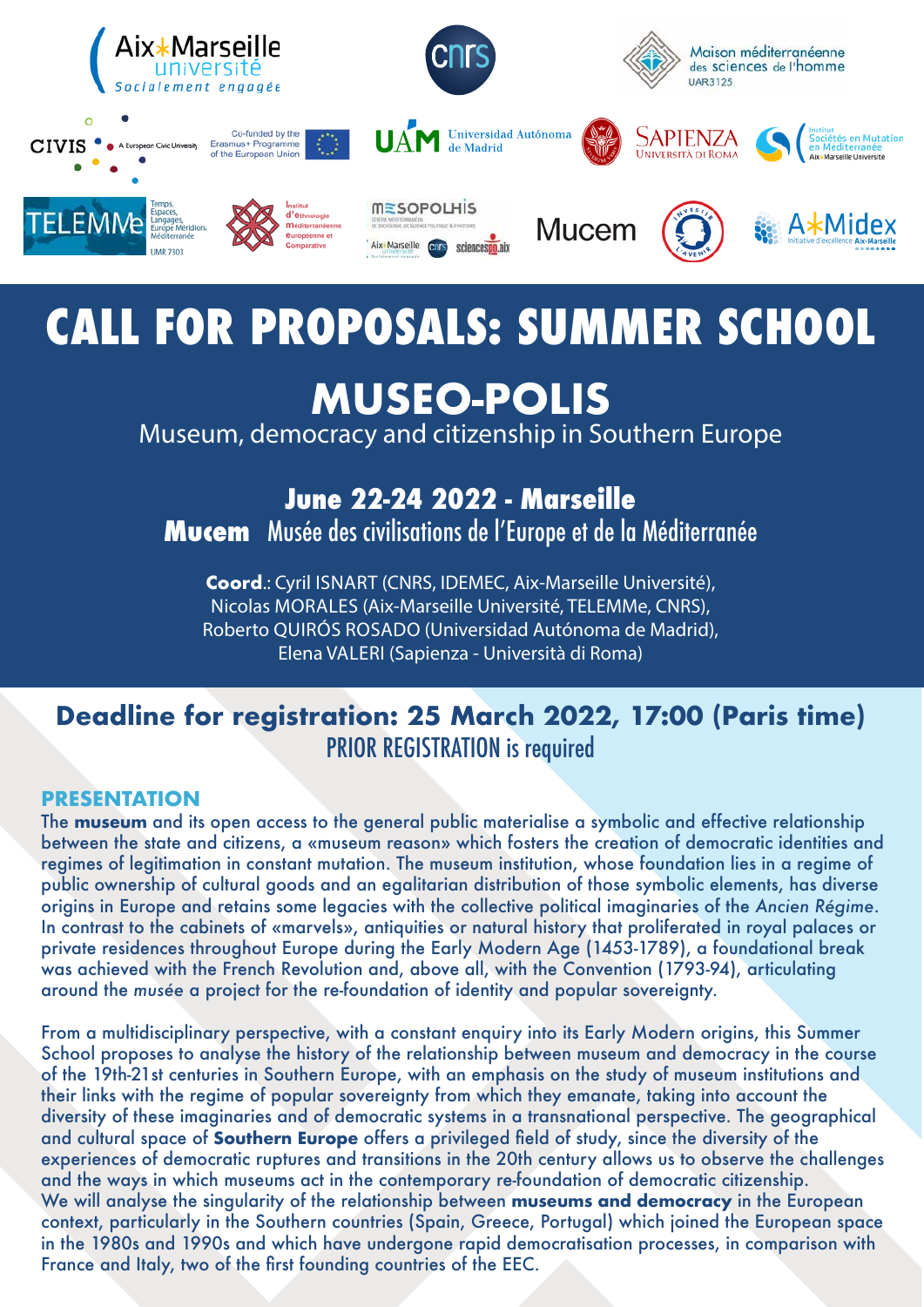

## **Deadline for registration: 25 March 2022, 17:00 (Paris time)** PRIOR REGISTRATION is required

# **CALL FOR PROPOSALS: SUMMER SCHOOL**

## **MUSEO-POLIS**

Museum, democracy and citizenship in Southern Europe

**June 22-24 2022 - Marseille**

**Mucem** Musée des civilisations de l'Europe et de la Méditerranée

**Coord**.: Cyril ISNART (CNRS, IDEMEC, Aix-Marseille Université), Nicolas MORALES (Aix-Marseille Université, TELEMMe, CNRS), Roberto QUIRÓS ROSADO (Universidad Autónoma de Madrid), Elena VALERI (Sapienza - Università di Roma)

#### **PRESENTATION**

The **museum** and its open access to the general public materialise a symbolic and effective relationship between the state and citizens, a «museum reason» which fosters the creation of democratic identities and regimes of legitimation in constant mutation. The museum institution, whose foundation lies in a regime of public ownership of cultural goods and an egalitarian distribution of those symbolic elements, has diverse origins in Europe and retains some legacies with the collective political imaginaries of the *Ancien Régime*. In contrast to the cabinets of «marvels», antiquities or natural history that proliferated in royal palaces or private residences throughout Europe during the Early Modern Age (1453-1789), a foundational break was achieved with the French Revolution and, above all, with the Convention (1793-94), articulating

#### around the *musée* a project for the re-foundation of identity and popular sovereignty.

From a multidisciplinary perspective, with a constant enquiry into its Early Modern origins, this Summer School proposes to analyse the history of the relationship between museum and democracy in the course of the 19th-21st centuries in Southern Europe, with an emphasis on the study of museum institutions and their links with the regime of popular sovereignty from which they emanate, taking into account the diversity of these imaginaries and of democratic systems in a transnational perspective. The geographical and cultural space of **Southern Europe** offers a privileged field of study, since the diversity of the experiences of democratic ruptures and transitions in the 20th century allows us to observe the challenges and the ways in which museums act in the contemporary re-foundation of democratic citizenship. We will analyse the singularity of the relationship between **museums and democracy** in the European context, particularly in the Southern countries (Spain, Greece, Portugal) which joined the European space in the 1980s and 1990s and which have undergone rapid democratisation processes, in comparison with France and Italy, two of the first founding countries of the EEC.